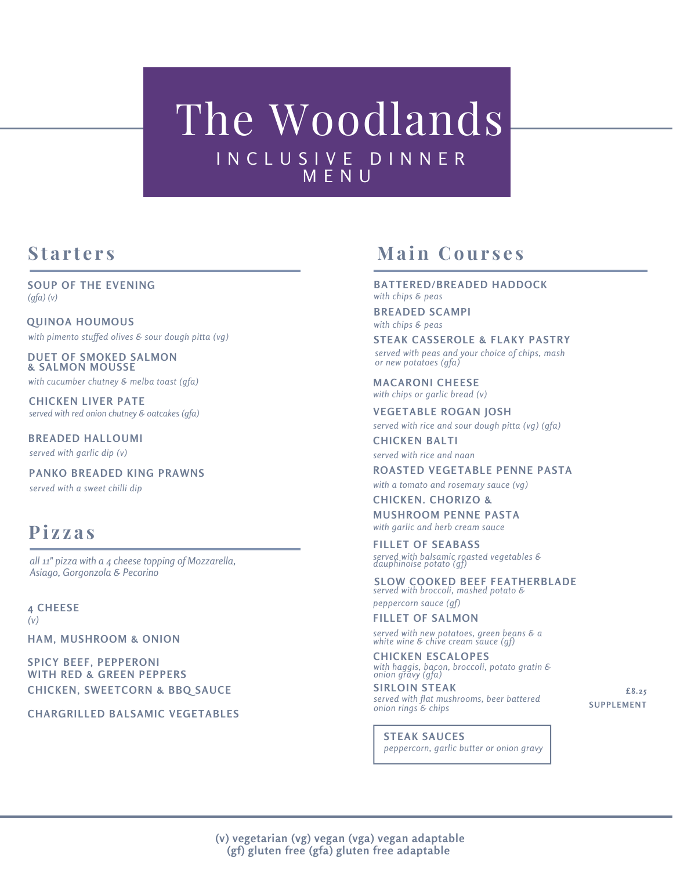# The Woodlands I N C L U S I V E D I N N E R M E N U

**SOUP OF THE EVENING** *(gfa) (v)*

*with pimento stuf ed olives & sour dough pitta (vg)* **QUINOA HOUMOUS**

**DUET OF SMOKED SALMON & SALMON MOUSSE**

*with cucumber chutney & melba toast (gfa)*

**CHICKEN LIVER PATE** *served with red onion chutney & oatcakes (gfa)*

*served with garlic dip (v)* **BREADED HALLOUMI**

*served with a sweet chilli dip* **PANKO BREADED KING PRAWNS**

### **Pi z z a s**

*all 11" pizza with a 4 cheese topping of Mozzarella, Asiago, Gorgonzola & Pecorino*

**4 CHEESE** *(v)*

**HAM, MUSHROOM & ONION**

**SPICY BEEF, PEPPERONI WITH RED & GREEN PEPPERS CHICKEN, SWEETCORN & BBQ SAUCE**

**CHARGRILLED BALSAMIC VEGETABLES**

## **s tarters main Courses**

**BATTERED/BREADED HADDOCK** *with chips & peas*

**BREADED SCAMPI** *with chips & peas*

*served with peas and your choice of chips, mash or new potatoes (gfa)* **STEAK CASSEROLE & FLAKY PASTRY**

**MACARONI CHEESE** *with chips or garlic bread (v)*

**VEGETABLE ROGAN JOSH** *served with rice and sour dough pitta (vg) (gfa)*

**CHICKEN BALTI** *served with rice and naan*

**ROASTED VEGETABLE PENNE PASTA**

*with a tomato and rosemary sauce (vg)*

**CHICKEN. CHORIZO & MUSHROOM PENNE PASTA** *with garlic and herb cream sauce*

*served with balsamic roasted vegetables & dauphinoise potato (gf)* **FILLET OF SEABASS**

*served with broccoli, mashed potato &* **SLOW COOKED BEEF FEATHERBLADE**

*peppercorn sauce (gf)* **FILLET OF SALMON**

*served with new potatoes, green beans & a white wine & chive cream sauce (gf)*

*with haggis, bacon, broccoli, potato gratin & onion gravy (gfa)* **CHICKEN ESCALOPES**

**SIRLOIN STEAK** *served with flat mushrooms, beer battered onion rings & chips*

**£8.25 SUPPLEMENT**

*peppercorn, garlic butter or onion gravy* **STEAK SAUCES**

**(v) vegetarian (vg) vegan (vga) vegan adaptable (gf) gluten free (gfa) gluten free adaptable**